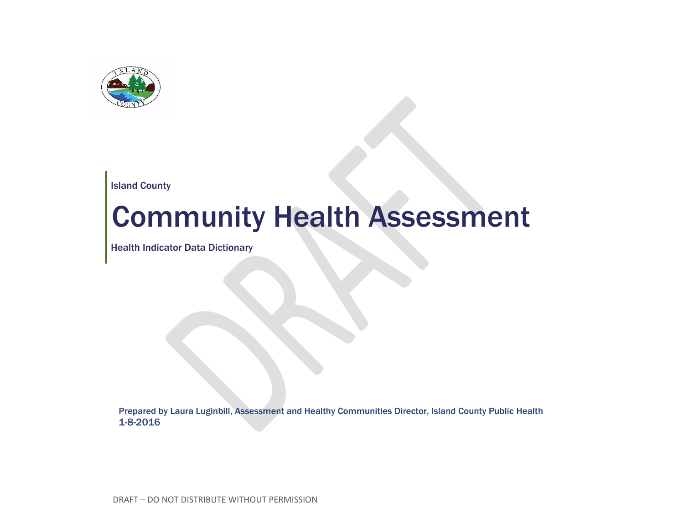

Island County

## Community Health Assessment

Health Indicator Data Dictionary

Prepared by Laura Luginbill, Assessment and Healthy Communities Director, Island County Public Health 1-8-2016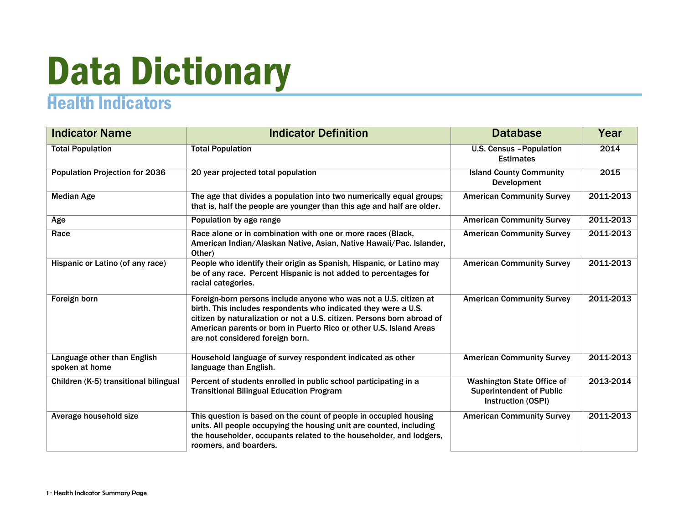## Data Dictionary

## Health Indicators

| <b>Indicator Name</b>                         | <b>Indicator Definition</b>                                                                                                                                                                                                                                                                                               | <b>Database</b>                                                                            | Year      |
|-----------------------------------------------|---------------------------------------------------------------------------------------------------------------------------------------------------------------------------------------------------------------------------------------------------------------------------------------------------------------------------|--------------------------------------------------------------------------------------------|-----------|
| <b>Total Population</b>                       | <b>Total Population</b>                                                                                                                                                                                                                                                                                                   | <b>U.S. Census - Population</b><br><b>Estimates</b>                                        | 2014      |
| <b>Population Projection for 2036</b>         | 20 year projected total population                                                                                                                                                                                                                                                                                        | <b>Island County Community</b><br>Development                                              | 2015      |
| <b>Median Age</b>                             | The age that divides a population into two numerically equal groups;<br>that is, half the people are younger than this age and half are older.                                                                                                                                                                            | <b>American Community Survey</b>                                                           | 2011-2013 |
| Age                                           | Population by age range                                                                                                                                                                                                                                                                                                   | <b>American Community Survey</b>                                                           | 2011-2013 |
| Race                                          | Race alone or in combination with one or more races (Black,<br>American Indian/Alaskan Native, Asian, Native Hawaii/Pac. Islander,<br>Other)                                                                                                                                                                              | <b>American Community Survey</b>                                                           | 2011-2013 |
| Hispanic or Latino (of any race)              | People who identify their origin as Spanish, Hispanic, or Latino may<br>be of any race. Percent Hispanic is not added to percentages for<br>racial categories.                                                                                                                                                            | <b>American Community Survey</b>                                                           | 2011-2013 |
| Foreign born                                  | Foreign-born persons include anyone who was not a U.S. citizen at<br>birth. This includes respondents who indicated they were a U.S.<br>citizen by naturalization or not a U.S. citizen. Persons born abroad of<br>American parents or born in Puerto Rico or other U.S. Island Areas<br>are not considered foreign born. | <b>American Community Survey</b>                                                           | 2011-2013 |
| Language other than English<br>spoken at home | Household language of survey respondent indicated as other<br>language than English.                                                                                                                                                                                                                                      | <b>American Community Survey</b>                                                           | 2011-2013 |
| Children (K-5) transitional bilingual         | Percent of students enrolled in public school participating in a<br><b>Transitional Bilingual Education Program</b>                                                                                                                                                                                                       | <b>Washington State Office of</b><br><b>Superintendent of Public</b><br>Instruction (OSPI) | 2013-2014 |
| Average household size                        | This question is based on the count of people in occupied housing<br>units. All people occupying the housing unit are counted, including<br>the householder, occupants related to the householder, and lodgers,<br>roomers, and boarders.                                                                                 | <b>American Community Survey</b>                                                           | 2011-2013 |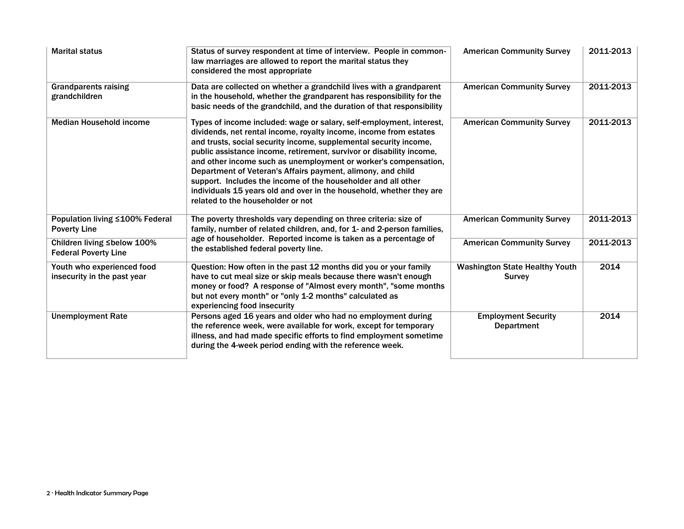| <b>Marital status</b>                                      | Status of survey respondent at time of interview. People in common-<br>law marriages are allowed to report the marital status they<br>considered the most appropriate                                                                                                                                                                                                                                                                                                                                                                                                                                  | <b>American Community Survey</b>                       | 2011-2013 |
|------------------------------------------------------------|--------------------------------------------------------------------------------------------------------------------------------------------------------------------------------------------------------------------------------------------------------------------------------------------------------------------------------------------------------------------------------------------------------------------------------------------------------------------------------------------------------------------------------------------------------------------------------------------------------|--------------------------------------------------------|-----------|
| <b>Grandparents raising</b><br>grandchildren               | Data are collected on whether a grandchild lives with a grandparent<br>in the household, whether the grandparent has responsibility for the<br>basic needs of the grandchild, and the duration of that responsibility                                                                                                                                                                                                                                                                                                                                                                                  | <b>American Community Survey</b>                       | 2011-2013 |
| <b>Median Household income</b>                             | Types of income included: wage or salary, self-employment, interest,<br>dividends, net rental income, royalty income, income from estates<br>and trusts, social security income, supplemental security income,<br>public assistance income, retirement, survivor or disability income,<br>and other income such as unemployment or worker's compensation,<br>Department of Veteran's Affairs payment, alimony, and child<br>support. Includes the income of the householder and all other<br>individuals 15 years old and over in the household, whether they are<br>related to the householder or not | <b>American Community Survey</b>                       | 2011-2013 |
| Population living ≤100% Federal<br><b>Poverty Line</b>     | The poverty thresholds vary depending on three criteria: size of<br>family, number of related children, and, for 1- and 2-person families,                                                                                                                                                                                                                                                                                                                                                                                                                                                             | <b>American Community Survey</b>                       | 2011-2013 |
| Children living ≤below 100%<br><b>Federal Poverty Line</b> | age of householder. Reported income is taken as a percentage of<br>the established federal poverty line.                                                                                                                                                                                                                                                                                                                                                                                                                                                                                               | <b>American Community Survey</b>                       | 2011-2013 |
| Youth who experienced food<br>insecurity in the past year  | Question: How often in the past 12 months did you or your family<br>have to cut meal size or skip meals because there wasn't enough<br>money or food? A response of "Almost every month", "some months<br>but not every month" or "only 1-2 months" calculated as<br>experiencing food insecurity                                                                                                                                                                                                                                                                                                      | <b>Washington State Healthy Youth</b><br><b>Survey</b> | 2014      |
| <b>Unemployment Rate</b>                                   | Persons aged 16 years and older who had no employment during<br>the reference week, were available for work, except for temporary<br>illness, and had made specific efforts to find employment sometime<br>during the 4-week period ending with the reference week.                                                                                                                                                                                                                                                                                                                                    | <b>Employment Security</b><br><b>Department</b>        | 2014      |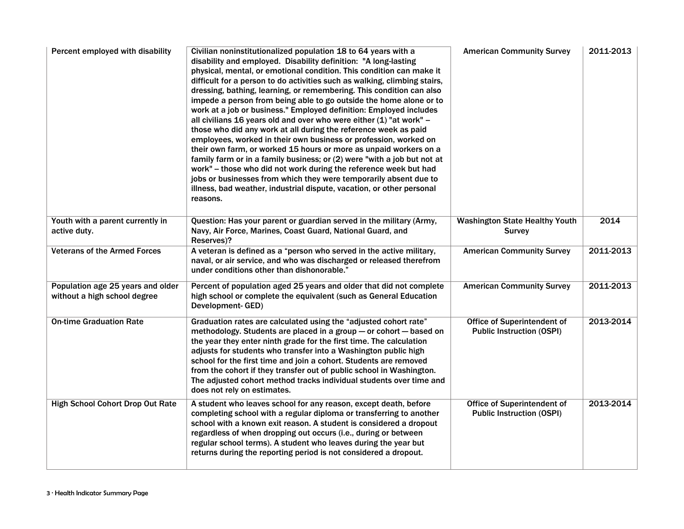| Percent employed with disability                                  | Civilian noninstitutionalized population 18 to 64 years with a<br>disability and employed. Disability definition: "A long-lasting<br>physical, mental, or emotional condition. This condition can make it<br>difficult for a person to do activities such as walking, climbing stairs,<br>dressing, bathing, learning, or remembering. This condition can also<br>impede a person from being able to go outside the home alone or to<br>work at a job or business." Employed definition: Employed includes<br>all civilians 16 years old and over who were either $(1)$ "at work" –<br>those who did any work at all during the reference week as paid<br>employees, worked in their own business or profession, worked on<br>their own farm, or worked 15 hours or more as unpaid workers on a<br>family farm or in a family business; or (2) were "with a job but not at<br>work" - those who did not work during the reference week but had<br>jobs or businesses from which they were temporarily absent due to<br>illness, bad weather, industrial dispute, vacation, or other personal<br>reasons. | <b>American Community Survey</b>                                | 2011-2013 |
|-------------------------------------------------------------------|----------------------------------------------------------------------------------------------------------------------------------------------------------------------------------------------------------------------------------------------------------------------------------------------------------------------------------------------------------------------------------------------------------------------------------------------------------------------------------------------------------------------------------------------------------------------------------------------------------------------------------------------------------------------------------------------------------------------------------------------------------------------------------------------------------------------------------------------------------------------------------------------------------------------------------------------------------------------------------------------------------------------------------------------------------------------------------------------------------|-----------------------------------------------------------------|-----------|
| Youth with a parent currently in<br>active duty.                  | Question: Has your parent or guardian served in the military (Army,<br>Navy, Air Force, Marines, Coast Guard, National Guard, and<br>Reserves)?                                                                                                                                                                                                                                                                                                                                                                                                                                                                                                                                                                                                                                                                                                                                                                                                                                                                                                                                                          | <b>Washington State Healthy Youth</b><br><b>Survey</b>          | 2014      |
| <b>Veterans of the Armed Forces</b>                               | A veteran is defined as a "person who served in the active military,<br>naval, or air service, and who was discharged or released therefrom<br>under conditions other than dishonorable."                                                                                                                                                                                                                                                                                                                                                                                                                                                                                                                                                                                                                                                                                                                                                                                                                                                                                                                | <b>American Community Survey</b>                                | 2011-2013 |
| Population age 25 years and older<br>without a high school degree | Percent of population aged 25 years and older that did not complete<br>high school or complete the equivalent (such as General Education<br>Development-GED)                                                                                                                                                                                                                                                                                                                                                                                                                                                                                                                                                                                                                                                                                                                                                                                                                                                                                                                                             | <b>American Community Survey</b>                                | 2011-2013 |
| <b>On-time Graduation Rate</b>                                    | Graduation rates are calculated using the "adjusted cohort rate"<br>methodology. Students are placed in a group - or cohort - based on<br>the year they enter ninth grade for the first time. The calculation<br>adjusts for students who transfer into a Washington public high<br>school for the first time and join a cohort. Students are removed<br>from the cohort if they transfer out of public school in Washington.<br>The adjusted cohort method tracks individual students over time and<br>does not rely on estimates.                                                                                                                                                                                                                                                                                                                                                                                                                                                                                                                                                                      | Office of Superintendent of<br><b>Public Instruction (OSPI)</b> | 2013-2014 |
| <b>High School Cohort Drop Out Rate</b>                           | A student who leaves school for any reason, except death, before<br>completing school with a regular diploma or transferring to another<br>school with a known exit reason. A student is considered a dropout<br>regardless of when dropping out occurs (i.e., during or between<br>regular school terms). A student who leaves during the year but<br>returns during the reporting period is not considered a dropout.                                                                                                                                                                                                                                                                                                                                                                                                                                                                                                                                                                                                                                                                                  | Office of Superintendent of<br><b>Public Instruction (OSPI)</b> | 2013-2014 |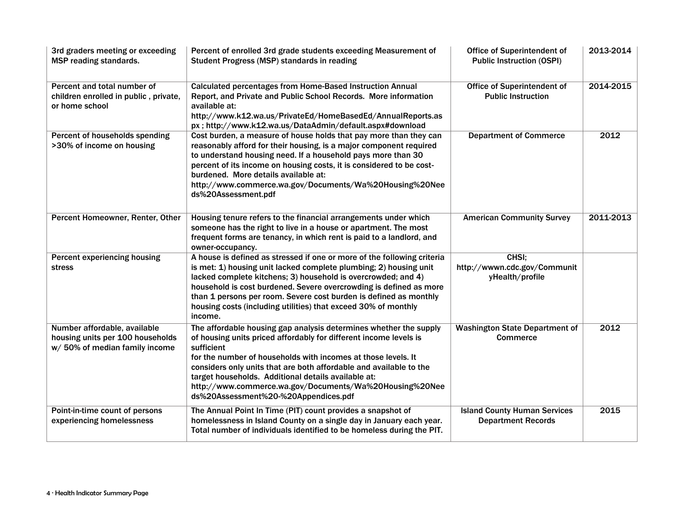| 3rd graders meeting or exceeding<br>MSP reading standards.                                         | Percent of enrolled 3rd grade students exceeding Measurement of<br>Student Progress (MSP) standards in reading                                                                                                                                                                                                                                                                                                                                        | Office of Superintendent of<br><b>Public Instruction (OSPI)</b>  | 2013-2014 |
|----------------------------------------------------------------------------------------------------|-------------------------------------------------------------------------------------------------------------------------------------------------------------------------------------------------------------------------------------------------------------------------------------------------------------------------------------------------------------------------------------------------------------------------------------------------------|------------------------------------------------------------------|-----------|
| Percent and total number of<br>children enrolled in public, private,<br>or home school             | Calculated percentages from Home-Based Instruction Annual<br>Report, and Private and Public School Records. More information<br>available at:<br>http://www.k12.wa.us/PrivateEd/HomeBasedEd/AnnualReports.as<br>px; http://www.k12.wa.us/DataAdmin/default.aspx#download                                                                                                                                                                              | Office of Superintendent of<br><b>Public Instruction</b>         | 2014-2015 |
| Percent of households spending<br>>30% of income on housing                                        | Cost burden, a measure of house holds that pay more than they can<br>reasonably afford for their housing, is a major component required<br>to understand housing need. If a household pays more than 30<br>percent of its income on housing costs, it is considered to be cost-<br>burdened. More details available at:<br>http://www.commerce.wa.gov/Documents/Wa%20Housing%20Nee<br>ds%20Assessment.pdf                                             | <b>Department of Commerce</b>                                    | 2012      |
| Percent Homeowner, Renter, Other                                                                   | Housing tenure refers to the financial arrangements under which<br>someone has the right to live in a house or apartment. The most<br>frequent forms are tenancy, in which rent is paid to a landlord, and<br>owner-occupancy.                                                                                                                                                                                                                        | <b>American Community Survey</b>                                 | 2011-2013 |
| Percent experiencing housing<br>stress                                                             | A house is defined as stressed if one or more of the following criteria<br>is met: 1) housing unit lacked complete plumbing; 2) housing unit<br>lacked complete kitchens; 3) household is overcrowded; and 4)<br>household is cost burdened. Severe overcrowding is defined as more<br>than 1 persons per room. Severe cost burden is defined as monthly<br>housing costs (including utilities) that exceed 30% of monthly<br>income.                 | CHSI;<br>http://wwwn.cdc.gov/Communit<br>yHealth/profile         |           |
| Number affordable, available<br>housing units per 100 households<br>w/ 50% of median family income | The affordable housing gap analysis determines whether the supply<br>of housing units priced affordably for different income levels is<br>sufficient<br>for the number of households with incomes at those levels. It<br>considers only units that are both affordable and available to the<br>target households. Additional details available at:<br>http://www.commerce.wa.gov/Documents/Wa%20Housing%20Nee<br>ds%20Assessment%20-%20Appendices.pdf | <b>Washington State Department of</b><br><b>Commerce</b>         | 2012      |
| Point-in-time count of persons<br>experiencing homelessness                                        | The Annual Point In Time (PIT) count provides a snapshot of<br>homelessness in Island County on a single day in January each year.<br>Total number of individuals identified to be homeless during the PIT.                                                                                                                                                                                                                                           | <b>Island County Human Services</b><br><b>Department Records</b> | 2015      |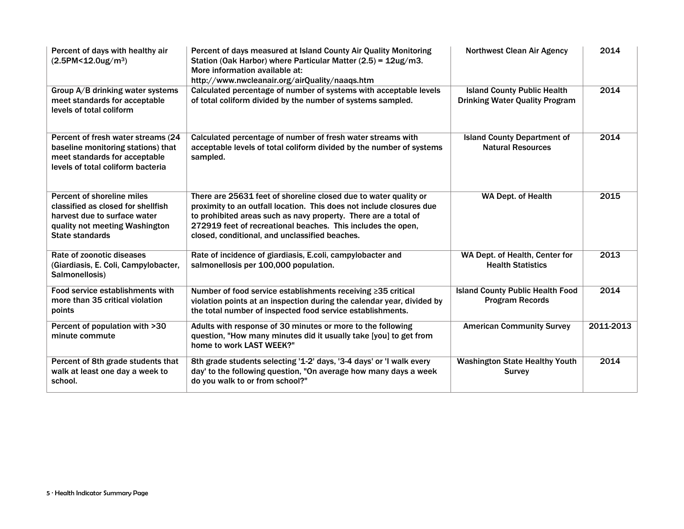| Percent of days with healthy air<br>$(2.5PM < 12.0$ ug/m <sup>3</sup> )                                                                                      | Percent of days measured at Island County Air Quality Monitoring<br>Station (Oak Harbor) where Particular Matter (2.5) = 12ug/m3.<br>More information available at:<br>http://www.nwcleanair.org/airQuality/naaqs.htm                                                                                                         | <b>Northwest Clean Air Agency</b>                                           | 2014      |
|--------------------------------------------------------------------------------------------------------------------------------------------------------------|-------------------------------------------------------------------------------------------------------------------------------------------------------------------------------------------------------------------------------------------------------------------------------------------------------------------------------|-----------------------------------------------------------------------------|-----------|
| Group A/B drinking water systems<br>meet standards for acceptable<br>levels of total coliform                                                                | Calculated percentage of number of systems with acceptable levels<br>of total coliform divided by the number of systems sampled.                                                                                                                                                                                              | <b>Island County Public Health</b><br><b>Drinking Water Quality Program</b> | 2014      |
| Percent of fresh water streams (24<br>baseline monitoring stations) that<br>meet standards for acceptable<br>levels of total coliform bacteria               | Calculated percentage of number of fresh water streams with<br>acceptable levels of total coliform divided by the number of systems<br>sampled.                                                                                                                                                                               | <b>Island County Department of</b><br><b>Natural Resources</b>              | 2014      |
| Percent of shoreline miles<br>classified as closed for shellfish<br>harvest due to surface water<br>quality not meeting Washington<br><b>State standards</b> | There are 25631 feet of shoreline closed due to water quality or<br>proximity to an outfall location. This does not include closures due<br>to prohibited areas such as navy property. There are a total of<br>272919 feet of recreational beaches. This includes the open,<br>closed, conditional, and unclassified beaches. | WA Dept. of Health                                                          | 2015      |
| Rate of zoonotic diseases<br>(Giardiasis, E. Coli, Campylobacter,<br>Salmonellosis)                                                                          | Rate of incidence of giardiasis, E.coli, campylobacter and<br>salmonellosis per 100,000 population.                                                                                                                                                                                                                           | WA Dept. of Health, Center for<br><b>Health Statistics</b>                  | 2013      |
| Food service establishments with<br>more than 35 critical violation<br>points                                                                                | Number of food service establishments receiving ≥35 critical<br>violation points at an inspection during the calendar year, divided by<br>the total number of inspected food service establishments.                                                                                                                          | <b>Island County Public Health Food</b><br><b>Program Records</b>           | 2014      |
| Percent of population with >30<br>minute commute                                                                                                             | Adults with response of 30 minutes or more to the following<br>question, "How many minutes did it usually take [you] to get from<br>home to work LAST WEEK?"                                                                                                                                                                  | <b>American Community Survey</b>                                            | 2011-2013 |
| Percent of 8th grade students that<br>walk at least one day a week to<br>school.                                                                             | 8th grade students selecting '1-2' days, '3-4 days' or 'I walk every<br>day' to the following question, "On average how many days a week<br>do you walk to or from school?"                                                                                                                                                   | <b>Washington State Healthy Youth</b><br><b>Survey</b>                      | 2014      |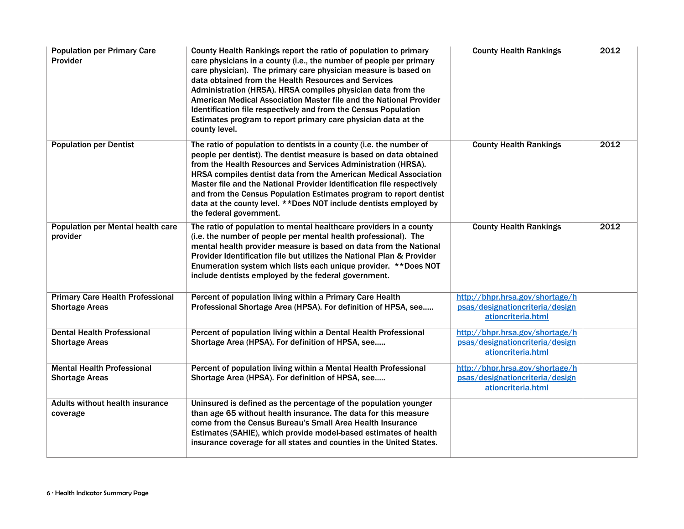| <b>Population per Primary Care</b><br><b>Provider</b>            | County Health Rankings report the ratio of population to primary<br>care physicians in a county (i.e., the number of people per primary<br>care physician). The primary care physician measure is based on<br>data obtained from the Health Resources and Services<br>Administration (HRSA). HRSA compiles physician data from the<br>American Medical Association Master file and the National Provider<br>Identification file respectively and from the Census Population<br>Estimates program to report primary care physician data at the<br>county level. | <b>County Health Rankings</b>                                                            | 2012 |
|------------------------------------------------------------------|----------------------------------------------------------------------------------------------------------------------------------------------------------------------------------------------------------------------------------------------------------------------------------------------------------------------------------------------------------------------------------------------------------------------------------------------------------------------------------------------------------------------------------------------------------------|------------------------------------------------------------------------------------------|------|
| <b>Population per Dentist</b>                                    | The ratio of population to dentists in a county (i.e. the number of<br>people per dentist). The dentist measure is based on data obtained<br>from the Health Resources and Services Administration (HRSA).<br>HRSA compiles dentist data from the American Medical Association<br>Master file and the National Provider Identification file respectively<br>and from the Census Population Estimates program to report dentist<br>data at the county level. ** Does NOT include dentists employed by<br>the federal government.                                | <b>County Health Rankings</b>                                                            | 2012 |
| <b>Population per Mental health care</b><br>provider             | The ratio of population to mental healthcare providers in a county<br>(i.e. the number of people per mental health professional). The<br>mental health provider measure is based on data from the National<br>Provider Identification file but utilizes the National Plan & Provider<br>Enumeration system which lists each unique provider. ** Does NOT<br>include dentists employed by the federal government.                                                                                                                                               | <b>County Health Rankings</b>                                                            | 2012 |
| <b>Primary Care Health Professional</b><br><b>Shortage Areas</b> | Percent of population living within a Primary Care Health<br>Professional Shortage Area (HPSA). For definition of HPSA, see                                                                                                                                                                                                                                                                                                                                                                                                                                    | http://bhpr.hrsa.gov/shortage/h<br>psas/designationcriteria/design<br>ationcriteria.html |      |
| <b>Dental Health Professional</b><br><b>Shortage Areas</b>       | Percent of population living within a Dental Health Professional<br>Shortage Area (HPSA). For definition of HPSA, see                                                                                                                                                                                                                                                                                                                                                                                                                                          | http://bhpr.hrsa.gov/shortage/h<br>psas/designationcriteria/design<br>ationcriteria.html |      |
| <b>Mental Health Professional</b><br><b>Shortage Areas</b>       | Percent of population living within a Mental Health Professional<br>Shortage Area (HPSA). For definition of HPSA, see                                                                                                                                                                                                                                                                                                                                                                                                                                          | http://bhpr.hrsa.gov/shortage/h<br>psas/designationcriteria/design<br>ationcriteria.html |      |
| <b>Adults without health insurance</b><br>coverage               | Uninsured is defined as the percentage of the population younger<br>than age 65 without health insurance. The data for this measure<br>come from the Census Bureau's Small Area Health Insurance<br>Estimates (SAHIE), which provide model-based estimates of health<br>insurance coverage for all states and counties in the United States.                                                                                                                                                                                                                   |                                                                                          |      |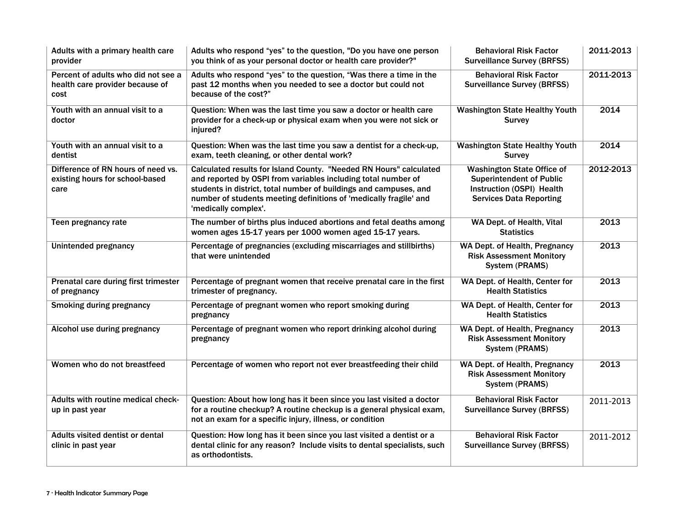| Adults with a primary health care<br>provider                                  | Adults who respond "yes" to the question, "Do you have one person<br>you think of as your personal doctor or health care provider?"                                                                                                                                                                   | <b>Behavioral Risk Factor</b><br><b>Surveillance Survey (BRFSS)</b>                                                                 | 2011-2013 |
|--------------------------------------------------------------------------------|-------------------------------------------------------------------------------------------------------------------------------------------------------------------------------------------------------------------------------------------------------------------------------------------------------|-------------------------------------------------------------------------------------------------------------------------------------|-----------|
| Percent of adults who did not see a<br>health care provider because of<br>cost | Adults who respond "yes" to the question, "Was there a time in the<br>past 12 months when you needed to see a doctor but could not<br>because of the cost?"                                                                                                                                           | <b>Behavioral Risk Factor</b><br><b>Surveillance Survey (BRFSS)</b>                                                                 | 2011-2013 |
| Youth with an annual visit to a<br>doctor                                      | Question: When was the last time you saw a doctor or health care<br>provider for a check-up or physical exam when you were not sick or<br>injured?                                                                                                                                                    | <b>Washington State Healthy Youth</b><br><b>Survey</b>                                                                              | 2014      |
| Youth with an annual visit to a<br>dentist                                     | Question: When was the last time you saw a dentist for a check-up,<br>exam, teeth cleaning, or other dental work?                                                                                                                                                                                     | <b>Washington State Healthy Youth</b><br><b>Survey</b>                                                                              | 2014      |
| Difference of RN hours of need vs.<br>existing hours for school-based<br>care  | Calculated results for Island County. "Needed RN Hours" calculated<br>and reported by OSPI from variables including total number of<br>students in district, total number of buildings and campuses, and<br>number of students meeting definitions of 'medically fragile' and<br>'medically complex'. | <b>Washington State Office of</b><br><b>Superintendent of Public</b><br>Instruction (OSPI) Health<br><b>Services Data Reporting</b> | 2012-2013 |
| Teen pregnancy rate                                                            | The number of births plus induced abortions and fetal deaths among<br>women ages 15-17 years per 1000 women aged 15-17 years.                                                                                                                                                                         | WA Dept. of Health, Vital<br><b>Statistics</b>                                                                                      | 2013      |
| Unintended pregnancy                                                           | Percentage of pregnancies (excluding miscarriages and stillbirths)<br>that were unintended                                                                                                                                                                                                            | WA Dept. of Health, Pregnancy<br><b>Risk Assessment Monitory</b><br>System (PRAMS)                                                  | 2013      |
| Prenatal care during first trimester<br>of pregnancy                           | Percentage of pregnant women that receive prenatal care in the first<br>trimester of pregnancy.                                                                                                                                                                                                       | WA Dept. of Health, Center for<br><b>Health Statistics</b>                                                                          | 2013      |
| <b>Smoking during pregnancy</b>                                                | Percentage of pregnant women who report smoking during<br>pregnancy                                                                                                                                                                                                                                   | WA Dept. of Health, Center for<br><b>Health Statistics</b>                                                                          | 2013      |
| Alcohol use during pregnancy                                                   | Percentage of pregnant women who report drinking alcohol during<br>pregnancy                                                                                                                                                                                                                          | WA Dept. of Health, Pregnancy<br><b>Risk Assessment Monitory</b><br>System (PRAMS)                                                  | 2013      |
| Women who do not breastfeed                                                    | Percentage of women who report not ever breastfeeding their child                                                                                                                                                                                                                                     | WA Dept. of Health, Pregnancy<br><b>Risk Assessment Monitory</b><br>System (PRAMS)                                                  | 2013      |
| Adults with routine medical check-<br>up in past year                          | Question: About how long has it been since you last visited a doctor<br>for a routine checkup? A routine checkup is a general physical exam,<br>not an exam for a specific injury, illness, or condition                                                                                              | <b>Behavioral Risk Factor</b><br><b>Surveillance Survey (BRFSS)</b>                                                                 | 2011-2013 |
| Adults visited dentist or dental<br>clinic in past year                        | Question: How long has it been since you last visited a dentist or a<br>dental clinic for any reason? Include visits to dental specialists, such<br>as orthodontists.                                                                                                                                 | <b>Behavioral Risk Factor</b><br><b>Surveillance Survey (BRFSS)</b>                                                                 | 2011-2012 |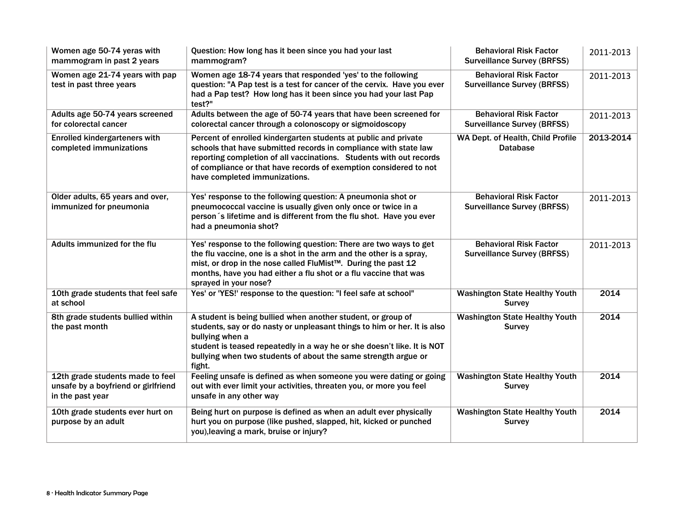| Women age 50-74 yeras with<br>mammogram in past 2 years                                     | Question: How long has it been since you had your last<br>mammogram?                                                                                                                                                                                                                                               | <b>Behavioral Risk Factor</b><br><b>Surveillance Survey (BRFSS)</b> | 2011-2013 |
|---------------------------------------------------------------------------------------------|--------------------------------------------------------------------------------------------------------------------------------------------------------------------------------------------------------------------------------------------------------------------------------------------------------------------|---------------------------------------------------------------------|-----------|
| Women age 21-74 years with pap<br>test in past three years                                  | Women age 18-74 years that responded 'yes' to the following<br>question: "A Pap test is a test for cancer of the cervix. Have you ever<br>had a Pap test? How long has it been since you had your last Pap<br>test?"                                                                                               | <b>Behavioral Risk Factor</b><br><b>Surveillance Survey (BRFSS)</b> | 2011-2013 |
| Adults age 50-74 years screened<br>for colorectal cancer                                    | Adults between the age of 50-74 years that have been screened for<br>colorectal cancer through a colonoscopy or sigmoidoscopy                                                                                                                                                                                      | <b>Behavioral Risk Factor</b><br><b>Surveillance Survey (BRFSS)</b> | 2011-2013 |
| <b>Enrolled kindergarteners with</b><br>completed immunizations                             | Percent of enrolled kindergarten students at public and private<br>schools that have submitted records in compliance with state law<br>reporting completion of all vaccinations. Students with out records<br>of compliance or that have records of exemption considered to not<br>have completed immunizations.   | WA Dept. of Health, Child Profile<br><b>Database</b>                | 2013-2014 |
| Older adults, 65 years and over,<br>immunized for pneumonia                                 | Yes' response to the following question: A pneumonia shot or<br>pneumococcal vaccine is usually given only once or twice in a<br>person 's lifetime and is different from the flu shot. Have you ever<br>had a pneumonia shot?                                                                                     | <b>Behavioral Risk Factor</b><br><b>Surveillance Survey (BRFSS)</b> | 2011-2013 |
| Adults immunized for the flu                                                                | Yes' response to the following question: There are two ways to get<br>the flu vaccine, one is a shot in the arm and the other is a spray,<br>mist, or drop in the nose called FluMist™. During the past 12<br>months, have you had either a flu shot or a flu vaccine that was<br>sprayed in your nose?            | <b>Behavioral Risk Factor</b><br><b>Surveillance Survey (BRFSS)</b> | 2011-2013 |
| 10th grade students that feel safe<br>at school                                             | Yes' or 'YES!' response to the question: "I feel safe at school"                                                                                                                                                                                                                                                   | <b>Washington State Healthy Youth</b><br><b>Survey</b>              | 2014      |
| 8th grade students bullied within<br>the past month                                         | A student is being bullied when another student, or group of<br>students, say or do nasty or unpleasant things to him or her. It is also<br>bullying when a<br>student is teased repeatedly in a way he or she doesn't like. It is NOT<br>bullying when two students of about the same strength argue or<br>fight. | <b>Washington State Healthy Youth</b><br><b>Survey</b>              | 2014      |
| 12th grade students made to feel<br>unsafe by a boyfriend or girlfriend<br>in the past year | Feeling unsafe is defined as when someone you were dating or going<br>out with ever limit your activities, threaten you, or more you feel<br>unsafe in any other way                                                                                                                                               | <b>Washington State Healthy Youth</b><br><b>Survey</b>              | 2014      |
| 10th grade students ever hurt on<br>purpose by an adult                                     | Being hurt on purpose is defined as when an adult ever physically<br>hurt you on purpose (like pushed, slapped, hit, kicked or punched<br>you), leaving a mark, bruise or injury?                                                                                                                                  | <b>Washington State Healthy Youth</b><br><b>Survey</b>              | 2014      |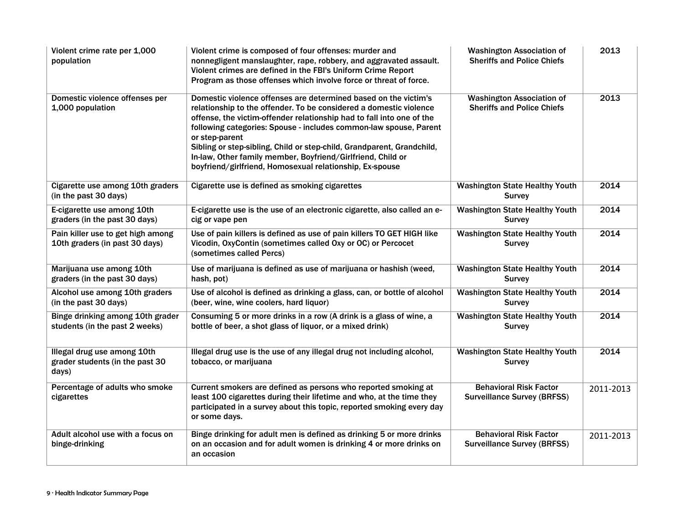| Violent crime rate per 1,000<br>population                              | Violent crime is composed of four offenses: murder and<br>nonnegligent manslaughter, rape, robbery, and aggravated assault.<br>Violent crimes are defined in the FBI's Uniform Crime Report<br>Program as those offenses which involve force or threat of force.                                                                                                                                                                                                                                           | <b>Washington Association of</b><br><b>Sheriffs and Police Chiefs</b> | 2013      |
|-------------------------------------------------------------------------|------------------------------------------------------------------------------------------------------------------------------------------------------------------------------------------------------------------------------------------------------------------------------------------------------------------------------------------------------------------------------------------------------------------------------------------------------------------------------------------------------------|-----------------------------------------------------------------------|-----------|
| Domestic violence offenses per<br>1,000 population                      | Domestic violence offenses are determined based on the victim's<br>relationship to the offender. To be considered a domestic violence<br>offense, the victim-offender relationship had to fall into one of the<br>following categories: Spouse - includes common-law spouse, Parent<br>or step-parent<br>Sibling or step-sibling, Child or step-child, Grandparent, Grandchild,<br>In-law, Other family member, Boyfriend/Girlfriend, Child or<br>boyfriend/girlfriend, Homosexual relationship, Ex-spouse | <b>Washington Association of</b><br><b>Sheriffs and Police Chiefs</b> | 2013      |
| Cigarette use among 10th graders<br>(in the past 30 days)               | Cigarette use is defined as smoking cigarettes                                                                                                                                                                                                                                                                                                                                                                                                                                                             | <b>Washington State Healthy Youth</b><br><b>Survey</b>                | 2014      |
| E-cigarette use among 10th<br>graders (in the past 30 days)             | E-cigarette use is the use of an electronic cigarette, also called an e-<br>cig or vape pen                                                                                                                                                                                                                                                                                                                                                                                                                | <b>Washington State Healthy Youth</b><br><b>Survey</b>                | 2014      |
| Pain killer use to get high among<br>10th graders (in past 30 days)     | Use of pain killers is defined as use of pain killers TO GET HIGH like<br>Vicodin, OxyContin (sometimes called Oxy or OC) or Percocet<br>(sometimes called Percs)                                                                                                                                                                                                                                                                                                                                          | <b>Washington State Healthy Youth</b><br><b>Survey</b>                | 2014      |
| Marijuana use among 10th<br>graders (in the past 30 days)               | Use of marijuana is defined as use of marijuana or hashish (weed,<br>hash, pot)                                                                                                                                                                                                                                                                                                                                                                                                                            | <b>Washington State Healthy Youth</b><br><b>Survey</b>                | 2014      |
| Alcohol use among 10th graders<br>(in the past 30 days)                 | Use of alcohol is defined as drinking a glass, can, or bottle of alcohol<br>(beer, wine, wine coolers, hard liquor)                                                                                                                                                                                                                                                                                                                                                                                        | <b>Washington State Healthy Youth</b><br><b>Survey</b>                | 2014      |
| Binge drinking among 10th grader<br>students (in the past 2 weeks)      | Consuming 5 or more drinks in a row (A drink is a glass of wine, a<br>bottle of beer, a shot glass of liquor, or a mixed drink)                                                                                                                                                                                                                                                                                                                                                                            | <b>Washington State Healthy Youth</b><br><b>Survey</b>                | 2014      |
| Illegal drug use among 10th<br>grader students (in the past 30<br>days) | Illegal drug use is the use of any illegal drug not including alcohol,<br>tobacco, or marijuana                                                                                                                                                                                                                                                                                                                                                                                                            | <b>Washington State Healthy Youth</b><br><b>Survey</b>                | 2014      |
| Percentage of adults who smoke<br>cigarettes                            | Current smokers are defined as persons who reported smoking at<br>least 100 cigarettes during their lifetime and who, at the time they<br>participated in a survey about this topic, reported smoking every day<br>or some days.                                                                                                                                                                                                                                                                           | <b>Behavioral Risk Factor</b><br><b>Surveillance Survey (BRFSS)</b>   | 2011-2013 |
| Adult alcohol use with a focus on<br>binge-drinking                     | Binge drinking for adult men is defined as drinking 5 or more drinks<br>on an occasion and for adult women is drinking 4 or more drinks on<br>an occasion                                                                                                                                                                                                                                                                                                                                                  | <b>Behavioral Risk Factor</b><br><b>Surveillance Survey (BRFSS)</b>   | 2011-2013 |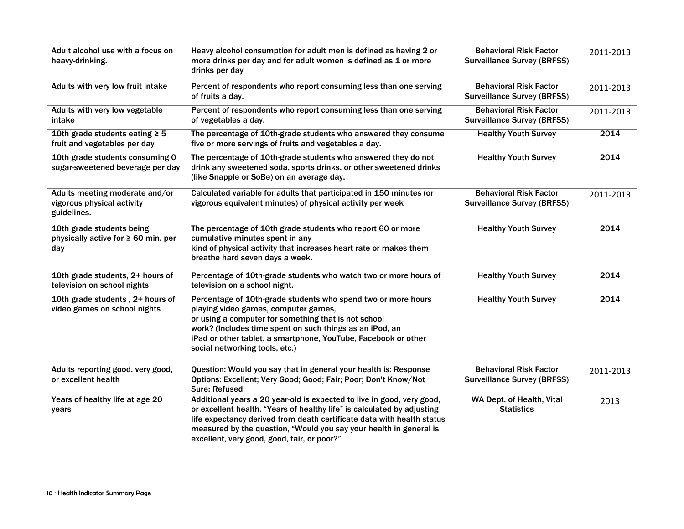| Adult alcohol use with a focus on<br>heavy-drinking.                         | Heavy alcohol consumption for adult men is defined as having 2 or<br>more drinks per day and for adult women is defined as 1 or more<br>drinks per day                                                                                                                                                                                           | <b>Behavioral Risk Factor</b><br><b>Surveillance Survey (BRFSS)</b> | 2011-2013 |
|------------------------------------------------------------------------------|--------------------------------------------------------------------------------------------------------------------------------------------------------------------------------------------------------------------------------------------------------------------------------------------------------------------------------------------------|---------------------------------------------------------------------|-----------|
| Adults with very low fruit intake                                            | Percent of respondents who report consuming less than one serving<br>of fruits a day.                                                                                                                                                                                                                                                            | <b>Behavioral Risk Factor</b><br><b>Surveillance Survey (BRFSS)</b> | 2011-2013 |
| Adults with very low vegetable<br>intake                                     | Percent of respondents who report consuming less than one serving<br>of vegetables a day.                                                                                                                                                                                                                                                        | <b>Behavioral Risk Factor</b><br><b>Surveillance Survey (BRFSS)</b> | 2011-2013 |
| 10th grade students eating $\geq$ 5<br>fruit and vegetables per day          | The percentage of 10th-grade students who answered they consume<br>five or more servings of fruits and vegetables a day.                                                                                                                                                                                                                         | <b>Healthy Youth Survey</b>                                         | 2014      |
| 10th grade students consuming 0<br>sugar-sweetened beverage per day          | The percentage of 10th-grade students who answered they do not<br>drink any sweetened soda, sports drinks, or other sweetened drinks<br>(like Snapple or SoBe) on an average day.                                                                                                                                                                | <b>Healthy Youth Survey</b>                                         | 2014      |
| Adults meeting moderate and/or<br>vigorous physical activity<br>guidelines.  | Calculated variable for adults that participated in 150 minutes (or<br>vigorous equivalent minutes) of physical activity per week                                                                                                                                                                                                                | <b>Behavioral Risk Factor</b><br><b>Surveillance Survey (BRFSS)</b> | 2011-2013 |
| 10th grade students being<br>physically active for $\geq 60$ min. per<br>day | The percentage of 10th grade students who report 60 or more<br>cumulative minutes spent in any<br>kind of physical activity that increases heart rate or makes them<br>breathe hard seven days a week.                                                                                                                                           | <b>Healthy Youth Survey</b>                                         | 2014      |
| 10th grade students, 2+ hours of<br>television on school nights              | Percentage of 10th-grade students who watch two or more hours of<br>television on a school night.                                                                                                                                                                                                                                                | <b>Healthy Youth Survey</b>                                         | 2014      |
| 10th grade students, 2+ hours of<br>video games on school nights             | Percentage of 10th-grade students who spend two or more hours<br>playing video games, computer games,<br>or using a computer for something that is not school<br>work? (Includes time spent on such things as an iPod, an<br>iPad or other tablet, a smartphone, YouTube, Facebook or other<br>social networking tools, etc.)                    | <b>Healthy Youth Survey</b>                                         | 2014      |
| Adults reporting good, very good,<br>or excellent health                     | Question: Would you say that in general your health is: Response<br>Options: Excellent; Very Good; Good; Fair; Poor; Don't Know/Not<br><b>Sure</b> ; Refused                                                                                                                                                                                     | <b>Behavioral Risk Factor</b><br><b>Surveillance Survey (BRFSS)</b> | 2011-2013 |
| Years of healthy life at age 20<br>years                                     | Additional years a 20 year-old is expected to live in good, very good,<br>or excellent health. "Years of healthy life" is calculated by adjusting<br>life expectancy derived from death certificate data with health status<br>measured by the question, "Would you say your health in general is<br>excellent, very good, good, fair, or poor?" | WA Dept. of Health, Vital<br><b>Statistics</b>                      | 2013      |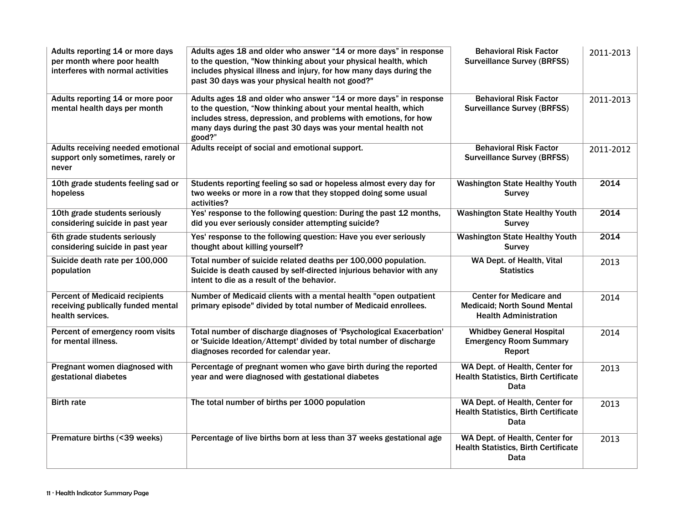| Adults reporting 14 or more days<br>per month where poor health<br>interferes with normal activities | Adults ages 18 and older who answer "14 or more days" in response<br>to the question, "Now thinking about your physical health, which<br>includes physical illness and injury, for how many days during the<br>past 30 days was your physical health not good?"                   | <b>Behavioral Risk Factor</b><br><b>Surveillance Survey (BRFSS)</b>                                   | 2011-2013 |
|------------------------------------------------------------------------------------------------------|-----------------------------------------------------------------------------------------------------------------------------------------------------------------------------------------------------------------------------------------------------------------------------------|-------------------------------------------------------------------------------------------------------|-----------|
| Adults reporting 14 or more poor<br>mental health days per month                                     | Adults ages 18 and older who answer "14 or more days" in response<br>to the question, "Now thinking about your mental health, which<br>includes stress, depression, and problems with emotions, for how<br>many days during the past 30 days was your mental health not<br>good?" | <b>Behavioral Risk Factor</b><br><b>Surveillance Survey (BRFSS)</b>                                   | 2011-2013 |
| <b>Adults receiving needed emotional</b><br>support only sometimes, rarely or<br>never               | Adults receipt of social and emotional support.                                                                                                                                                                                                                                   | <b>Behavioral Risk Factor</b><br><b>Surveillance Survey (BRFSS)</b>                                   | 2011-2012 |
| 10th grade students feeling sad or<br>hopeless                                                       | Students reporting feeling so sad or hopeless almost every day for<br>two weeks or more in a row that they stopped doing some usual<br>activities?                                                                                                                                | <b>Washington State Healthy Youth</b><br><b>Survey</b>                                                | 2014      |
| 10th grade students seriously<br>considering suicide in past year                                    | Yes' response to the following question: During the past 12 months,<br>did you ever seriously consider attempting suicide?                                                                                                                                                        | <b>Washington State Healthy Youth</b><br><b>Survey</b>                                                | 2014      |
| 6th grade students seriously<br>considering suicide in past year                                     | Yes' response to the following question: Have you ever seriously<br>thought about killing yourself?                                                                                                                                                                               | <b>Washington State Healthy Youth</b><br><b>Survey</b>                                                | 2014      |
| Suicide death rate per 100,000<br>population                                                         | Total number of suicide related deaths per 100,000 population.<br>Suicide is death caused by self-directed injurious behavior with any<br>intent to die as a result of the behavior.                                                                                              | WA Dept. of Health, Vital<br><b>Statistics</b>                                                        | 2013      |
| <b>Percent of Medicaid recipients</b><br>receiving publically funded mental<br>health services.      | Number of Medicaid clients with a mental health "open outpatient<br>primary episode" divided by total number of Medicaid enrollees.                                                                                                                                               | <b>Center for Medicare and</b><br><b>Medicaid; North Sound Mental</b><br><b>Health Administration</b> | 2014      |
| Percent of emergency room visits<br>for mental illness.                                              | Total number of discharge diagnoses of 'Psychological Exacerbation'<br>or 'Suicide Ideation/Attempt' divided by total number of discharge<br>diagnoses recorded for calendar year.                                                                                                | <b>Whidbey General Hospital</b><br><b>Emergency Room Summary</b><br>Report                            | 2014      |
| Pregnant women diagnosed with<br>gestational diabetes                                                | Percentage of pregnant women who gave birth during the reported<br>year and were diagnosed with gestational diabetes                                                                                                                                                              | WA Dept. of Health, Center for<br><b>Health Statistics, Birth Certificate</b><br>Data                 | 2013      |
| <b>Birth rate</b>                                                                                    | The total number of births per 1000 population                                                                                                                                                                                                                                    | WA Dept. of Health, Center for<br><b>Health Statistics, Birth Certificate</b><br>Data                 | 2013      |
| Premature births (<39 weeks)                                                                         | Percentage of live births born at less than 37 weeks gestational age                                                                                                                                                                                                              | WA Dept. of Health, Center for<br><b>Health Statistics, Birth Certificate</b><br>Data                 | 2013      |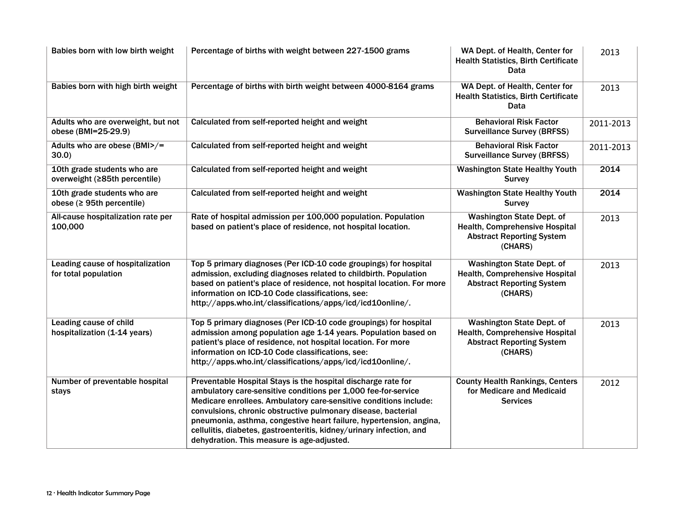| Babies born with low birth weight                              | Percentage of births with weight between 227-1500 grams                                                                                                                                                                                                                                                                                                                                                                                                           | WA Dept. of Health, Center for<br><b>Health Statistics, Birth Certificate</b><br>Data                             | 2013      |
|----------------------------------------------------------------|-------------------------------------------------------------------------------------------------------------------------------------------------------------------------------------------------------------------------------------------------------------------------------------------------------------------------------------------------------------------------------------------------------------------------------------------------------------------|-------------------------------------------------------------------------------------------------------------------|-----------|
| Babies born with high birth weight                             | Percentage of births with birth weight between 4000-8164 grams                                                                                                                                                                                                                                                                                                                                                                                                    | WA Dept. of Health, Center for<br><b>Health Statistics, Birth Certificate</b><br>Data                             | 2013      |
| Adults who are overweight, but not<br>obese (BMI=25-29.9)      | Calculated from self-reported height and weight                                                                                                                                                                                                                                                                                                                                                                                                                   | <b>Behavioral Risk Factor</b><br><b>Surveillance Survey (BRFSS)</b>                                               | 2011-2013 |
| Adults who are obese (BMI>/=<br>$30.0$ )                       | Calculated from self-reported height and weight                                                                                                                                                                                                                                                                                                                                                                                                                   | <b>Behavioral Risk Factor</b><br><b>Surveillance Survey (BRFSS)</b>                                               | 2011-2013 |
| 10th grade students who are<br>overweight (≥85th percentile)   | Calculated from self-reported height and weight                                                                                                                                                                                                                                                                                                                                                                                                                   | <b>Washington State Healthy Youth</b><br><b>Survey</b>                                                            | 2014      |
| 10th grade students who are<br>obese ( $\geq$ 95th percentile) | Calculated from self-reported height and weight                                                                                                                                                                                                                                                                                                                                                                                                                   | <b>Washington State Healthy Youth</b><br><b>Survey</b>                                                            | 2014      |
| All-cause hospitalization rate per<br>100,000                  | Rate of hospital admission per 100,000 population. Population<br>based on patient's place of residence, not hospital location.                                                                                                                                                                                                                                                                                                                                    | <b>Washington State Dept. of</b><br>Health, Comprehensive Hospital<br><b>Abstract Reporting System</b><br>(CHARS) | 2013      |
| Leading cause of hospitalization<br>for total population       | Top 5 primary diagnoses (Per ICD-10 code groupings) for hospital<br>admission, excluding diagnoses related to childbirth. Population<br>based on patient's place of residence, not hospital location. For more<br>information on ICD-10 Code classifications, see:<br>http://apps.who.int/classifications/apps/icd/icd10online/.                                                                                                                                  | <b>Washington State Dept. of</b><br>Health, Comprehensive Hospital<br><b>Abstract Reporting System</b><br>(CHARS) | 2013      |
| Leading cause of child<br>hospitalization (1-14 years)         | Top 5 primary diagnoses (Per ICD-10 code groupings) for hospital<br>admission among population age 1-14 years. Population based on<br>patient's place of residence, not hospital location. For more<br>information on ICD-10 Code classifications, see:<br>http://apps.who.int/classifications/apps/icd/icd10online/.                                                                                                                                             | <b>Washington State Dept. of</b><br>Health, Comprehensive Hospital<br><b>Abstract Reporting System</b><br>(CHARS) | 2013      |
| Number of preventable hospital<br>stays                        | Preventable Hospital Stays is the hospital discharge rate for<br>ambulatory care-sensitive conditions per 1,000 fee-for-service<br>Medicare enrollees. Ambulatory care-sensitive conditions include:<br>convulsions, chronic obstructive pulmonary disease, bacterial<br>pneumonia, asthma, congestive heart failure, hypertension, angina,<br>cellulitis, diabetes, gastroenteritis, kidney/urinary infection, and<br>dehydration. This measure is age-adjusted. | <b>County Health Rankings, Centers</b><br>for Medicare and Medicaid<br><b>Services</b>                            | 2012      |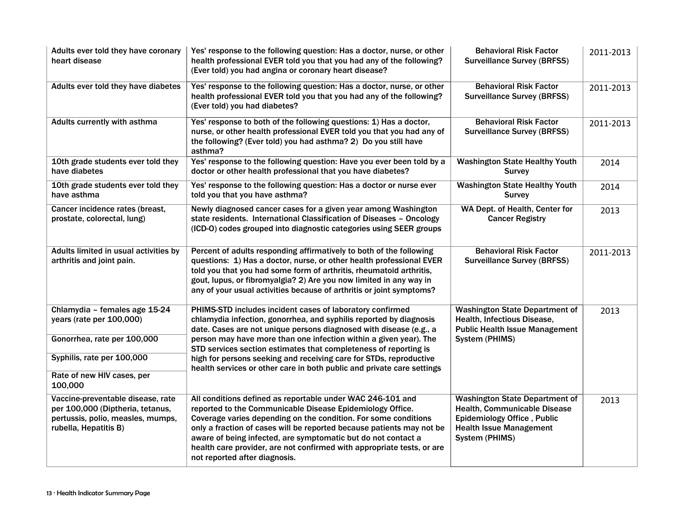| Adults ever told they have coronary<br>heart disease                                                                                | Yes' response to the following question: Has a doctor, nurse, or other<br>health professional EVER told you that you had any of the following?<br>(Ever told) you had angina or coronary heart disease?                                                                                                                                                                                                                                         | <b>Behavioral Risk Factor</b><br><b>Surveillance Survey (BRFSS)</b>                                                                                      | 2011-2013 |
|-------------------------------------------------------------------------------------------------------------------------------------|-------------------------------------------------------------------------------------------------------------------------------------------------------------------------------------------------------------------------------------------------------------------------------------------------------------------------------------------------------------------------------------------------------------------------------------------------|----------------------------------------------------------------------------------------------------------------------------------------------------------|-----------|
| Adults ever told they have diabetes                                                                                                 | Yes' response to the following question: Has a doctor, nurse, or other<br>health professional EVER told you that you had any of the following?<br>(Ever told) you had diabetes?                                                                                                                                                                                                                                                                 | <b>Behavioral Risk Factor</b><br><b>Surveillance Survey (BRFSS)</b>                                                                                      | 2011-2013 |
| Adults currently with asthma                                                                                                        | Yes' response to both of the following questions: 1) Has a doctor,<br>nurse, or other health professional EVER told you that you had any of<br>the following? (Ever told) you had asthma? 2) Do you still have<br>asthma?                                                                                                                                                                                                                       | <b>Behavioral Risk Factor</b><br><b>Surveillance Survey (BRFSS)</b>                                                                                      | 2011-2013 |
| 10th grade students ever told they<br>have diabetes                                                                                 | Yes' response to the following question: Have you ever been told by a<br>doctor or other health professional that you have diabetes?                                                                                                                                                                                                                                                                                                            | <b>Washington State Healthy Youth</b><br><b>Survey</b>                                                                                                   | 2014      |
| 10th grade students ever told they<br>have asthma                                                                                   | Yes' response to the following question: Has a doctor or nurse ever<br>told you that you have asthma?                                                                                                                                                                                                                                                                                                                                           | <b>Washington State Healthy Youth</b><br><b>Survey</b>                                                                                                   | 2014      |
| Cancer incidence rates (breast,<br>prostate, colorectal, lung)                                                                      | Newly diagnosed cancer cases for a given year among Washington<br>state residents. International Classification of Diseases - Oncology<br>(ICD-O) codes grouped into diagnostic categories using SEER groups                                                                                                                                                                                                                                    | WA Dept. of Health, Center for<br><b>Cancer Registry</b>                                                                                                 | 2013      |
| Adults limited in usual activities by<br>arthritis and joint pain.                                                                  | Percent of adults responding affirmatively to both of the following<br>questions: 1) Has a doctor, nurse, or other health professional EVER<br>told you that you had some form of arthritis, rheumatoid arthritis,<br>gout, lupus, or fibromyalgia? 2) Are you now limited in any way in<br>any of your usual activities because of arthritis or joint symptoms?                                                                                | <b>Behavioral Risk Factor</b><br><b>Surveillance Survey (BRFSS)</b>                                                                                      | 2011-2013 |
| Chlamydia - females age 15-24<br>years (rate per 100,000)                                                                           | PHIMS-STD includes incident cases of laboratory confirmed<br>chlamydia infection, gonorrhea, and syphilis reported by diagnosis<br>date. Cases are not unique persons diagnosed with disease (e.g., a                                                                                                                                                                                                                                           | <b>Washington State Department of</b><br>Health, Infectious Disease,<br><b>Public Health Issue Management</b>                                            | 2013      |
| Gonorrhea, rate per 100,000                                                                                                         | person may have more than one infection within a given year). The<br>STD services section estimates that completeness of reporting is                                                                                                                                                                                                                                                                                                           | System (PHIMS)                                                                                                                                           |           |
| Syphilis, rate per 100,000                                                                                                          | high for persons seeking and receiving care for STDs, reproductive<br>health services or other care in both public and private care settings                                                                                                                                                                                                                                                                                                    |                                                                                                                                                          |           |
| Rate of new HIV cases, per<br>100,000                                                                                               |                                                                                                                                                                                                                                                                                                                                                                                                                                                 |                                                                                                                                                          |           |
| Vaccine-preventable disease, rate<br>per 100,000 (Diptheria, tetanus,<br>pertussis, polio, measles, mumps,<br>rubella, Hepatitis B) | All conditions defined as reportable under WAC 246-101 and<br>reported to the Communicable Disease Epidemiology Office.<br>Coverage varies depending on the condition. For some conditions<br>only a fraction of cases will be reported because patients may not be<br>aware of being infected, are symptomatic but do not contact a<br>health care provider, are not confirmed with appropriate tests, or are<br>not reported after diagnosis. | <b>Washington State Department of</b><br>Health, Communicable Disease<br>Epidemiology Office, Public<br><b>Health Issue Management</b><br>System (PHIMS) | 2013      |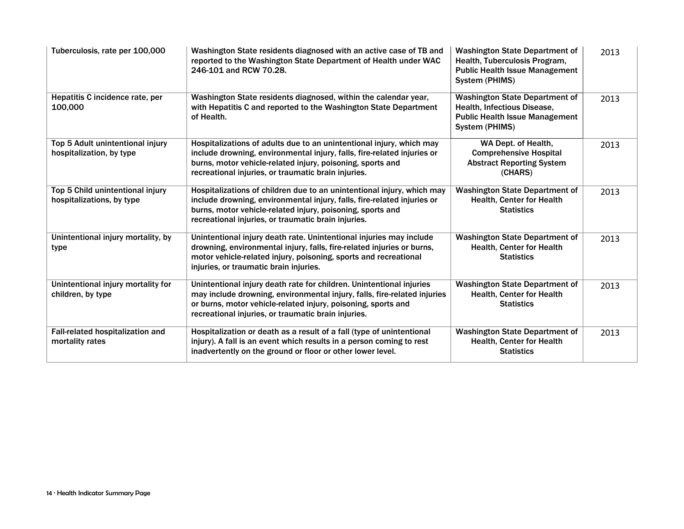| Tuberculosis, rate per 100,000                                | Washington State residents diagnosed with an active case of TB and<br>reported to the Washington State Department of Health under WAC<br>246-101 and RCW 70.28.                                                                                                          | <b>Washington State Department of</b><br>Health, Tuberculosis Program,<br><b>Public Health Issue Management</b><br>System (PHIMS) | 2013 |
|---------------------------------------------------------------|--------------------------------------------------------------------------------------------------------------------------------------------------------------------------------------------------------------------------------------------------------------------------|-----------------------------------------------------------------------------------------------------------------------------------|------|
| Hepatitis C incidence rate, per<br>100,000                    | Washington State residents diagnosed, within the calendar year,<br>with Hepatitis C and reported to the Washington State Department<br>of Health.                                                                                                                        | <b>Washington State Department of</b><br>Health, Infectious Disease,<br><b>Public Health Issue Management</b><br>System (PHIMS)   | 2013 |
| Top 5 Adult unintentional injury<br>hospitalization, by type  | Hospitalizations of adults due to an unintentional injury, which may<br>include drowning, environmental injury, falls, fire-related injuries or<br>burns, motor vehicle-related injury, poisoning, sports and<br>recreational injuries, or traumatic brain injuries.     | WA Dept. of Health,<br><b>Comprehensive Hospital</b><br><b>Abstract Reporting System</b><br>(CHARS)                               | 2013 |
| Top 5 Child unintentional injury<br>hospitalizations, by type | Hospitalizations of children due to an unintentional injury, which may<br>include drowning, environmental injury, falls, fire-related injuries or<br>burns, motor vehicle-related injury, poisoning, sports and<br>recreational injuries, or traumatic brain injuries.   | <b>Washington State Department of</b><br><b>Health, Center for Health</b><br><b>Statistics</b>                                    | 2013 |
| Unintentional injury mortality, by<br>type                    | Unintentional injury death rate. Unintentional injuries may include<br>drowning, environmental injury, falls, fire-related injuries or burns,<br>motor vehicle-related injury, poisoning, sports and recreational<br>injuries, or traumatic brain injuries.              | <b>Washington State Department of</b><br><b>Health, Center for Health</b><br><b>Statistics</b>                                    | 2013 |
| Unintentional injury mortality for<br>children, by type       | Unintentional injury death rate for children. Unintentional injuries<br>may include drowning, environmental injury, falls, fire-related injuries<br>or burns, motor vehicle-related injury, poisoning, sports and<br>recreational injuries, or traumatic brain injuries. | <b>Washington State Department of</b><br><b>Health, Center for Health</b><br><b>Statistics</b>                                    | 2013 |
| Fall-related hospitalization and<br>mortality rates           | Hospitalization or death as a result of a fall (type of unintentional<br>injury). A fall is an event which results in a person coming to rest<br>inadvertently on the ground or floor or other lower level.                                                              | <b>Washington State Department of</b><br><b>Health, Center for Health</b><br><b>Statistics</b>                                    | 2013 |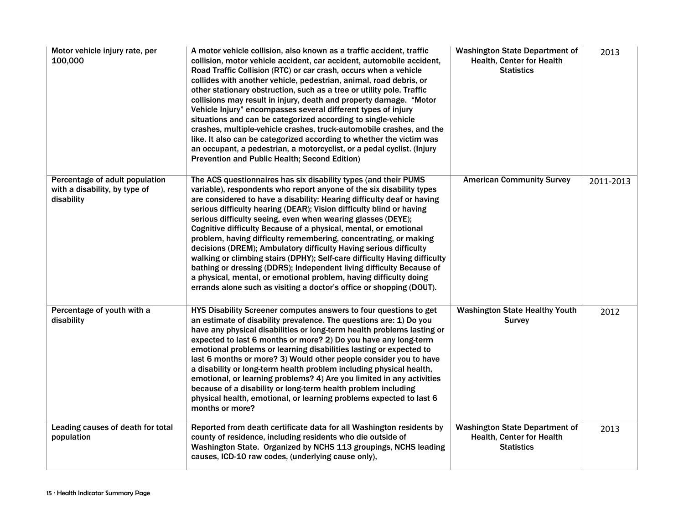| Motor vehicle injury rate, per<br>100,000                                     | A motor vehicle collision, also known as a traffic accident, traffic<br>collision, motor vehicle accident, car accident, automobile accident,<br>Road Traffic Collision (RTC) or car crash, occurs when a vehicle<br>collides with another vehicle, pedestrian, animal, road debris, or<br>other stationary obstruction, such as a tree or utility pole. Traffic<br>collisions may result in injury, death and property damage. "Motor<br>Vehicle Injury" encompasses several different types of injury<br>situations and can be categorized according to single-vehicle<br>crashes, multiple-vehicle crashes, truck-automobile crashes, and the<br>like. It also can be categorized according to whether the victim was<br>an occupant, a pedestrian, a motorcyclist, or a pedal cyclist. (Injury<br><b>Prevention and Public Health; Second Edition)</b>               | <b>Washington State Department of</b><br>Health, Center for Health<br><b>Statistics</b> | 2013      |
|-------------------------------------------------------------------------------|--------------------------------------------------------------------------------------------------------------------------------------------------------------------------------------------------------------------------------------------------------------------------------------------------------------------------------------------------------------------------------------------------------------------------------------------------------------------------------------------------------------------------------------------------------------------------------------------------------------------------------------------------------------------------------------------------------------------------------------------------------------------------------------------------------------------------------------------------------------------------|-----------------------------------------------------------------------------------------|-----------|
| Percentage of adult population<br>with a disability, by type of<br>disability | The ACS questionnaires has six disability types (and their PUMS<br>variable), respondents who report anyone of the six disability types<br>are considered to have a disability: Hearing difficulty deaf or having<br>serious difficulty hearing (DEAR); Vision difficulty blind or having<br>serious difficulty seeing, even when wearing glasses (DEYE);<br>Cognitive difficulty Because of a physical, mental, or emotional<br>problem, having difficulty remembering, concentrating, or making<br>decisions (DREM); Ambulatory difficulty Having serious difficulty<br>walking or climbing stairs (DPHY); Self-care difficulty Having difficulty<br>bathing or dressing (DDRS); Independent living difficulty Because of<br>a physical, mental, or emotional problem, having difficulty doing<br>errands alone such as visiting a doctor's office or shopping (DOUT). | <b>American Community Survey</b>                                                        | 2011-2013 |
| Percentage of youth with a<br>disability                                      | HYS Disability Screener computes answers to four questions to get<br>an estimate of disability prevalence. The questions are: 1) Do you<br>have any physical disabilities or long-term health problems lasting or<br>expected to last 6 months or more? 2) Do you have any long-term<br>emotional problems or learning disabilities lasting or expected to<br>last 6 months or more? 3) Would other people consider you to have<br>a disability or long-term health problem including physical health,<br>emotional, or learning problems? 4) Are you limited in any activities<br>because of a disability or long-term health problem including<br>physical health, emotional, or learning problems expected to last 6<br>months or more?                                                                                                                               | <b>Washington State Healthy Youth</b><br><b>Survey</b>                                  | 2012      |
| Leading causes of death for total<br>population                               | Reported from death certificate data for all Washington residents by<br>county of residence, including residents who die outside of<br>Washington State. Organized by NCHS 113 groupings, NCHS leading<br>causes, ICD-10 raw codes, (underlying cause only),                                                                                                                                                                                                                                                                                                                                                                                                                                                                                                                                                                                                             | <b>Washington State Department of</b><br>Health, Center for Health<br><b>Statistics</b> | 2013      |